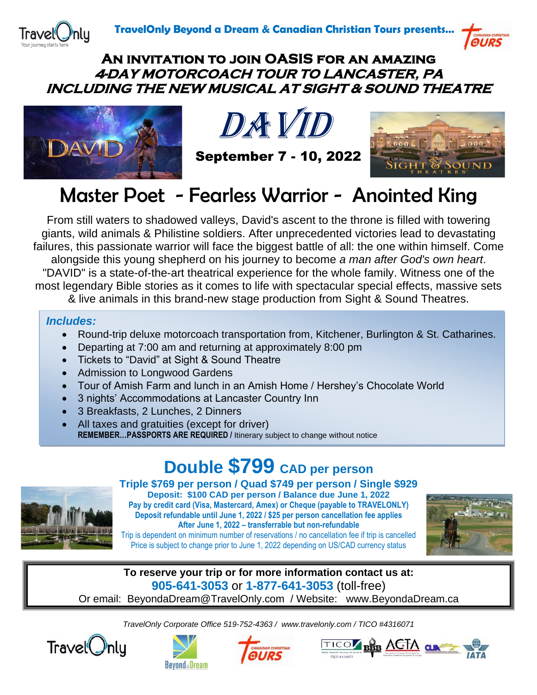

## **An invitation to join OASIS for an amazing 4-DAY MOTORCOACH TOUR TO LANCASTER, PA INCLUDING THE NEW MUSICAL AT SIGHT & SOUND THEATRE**





September 7 - 10, 2022



# Master Poet - Fearless Warrior - Anointed King

From still waters to shadowed valleys, David's ascent to the throne is filled with towering giants, wild animals & Philistine soldiers. After unprecedented victories lead to devastating failures, this passionate warrior will face the biggest battle of all: the one within himself. Come alongside this young shepherd on his journey to become *a man after God's own heart*. "DAVID" is a state-of-the-art theatrical experience for the whole family. Witness one of the most legendary Bible stories as it comes to life with spectacular special effects, massive sets & live animals in this brand-new stage production from Sight & Sound Theatres.

### *Includes:*

- Round-trip deluxe motorcoach transportation from, Kitchener, Burlington & St. Catharines.
- Departing at 7:00 am and returning at approximately 8:00 pm
- Tickets to "David" at Sight & Sound Theatre
- Admission to Longwood Gardens
- Tour of Amish Farm and lunch in an Amish Home / Hershey's Chocolate World
- 3 nights' Accommodations at Lancaster Country Inn
- 3 Breakfasts, 2 Lunches, 2 Dinners
- All taxes and gratuities (except for driver) **REMEMBER…PASSPORTS ARE REQUIRED /** Itinerary subject to change without notice

## **Double \$799 CAD per person**



**Triple \$769 per person / Quad \$749 per person / Single \$929 Deposit: \$100 CAD per person / Balance due June 1, 2022 Pay by credit card (Visa, Mastercard, Amex) or Cheque (payable to TRAVELONLY) Deposit refundable until June 1, 2022 / \$25 per person cancellation fee applies After June 1, 2022 – transferrable but non-refundable**



Trip is dependent on minimum number of reservations / no cancellation fee if trip is cancelled Price is subject to change prior to June 1, 2022 depending on US/CAD currency status

**To reserve your trip or for more information contact us at: 905-641-3053** or **1-877-641-3053** (toll-free) Or email: BeyondaDream@TravelOnly.com / Website: www.BeyondaDream.ca

*TravelOnly Corporate Office 519-752-4363 / www.travelonly.com / TICO #4316071*